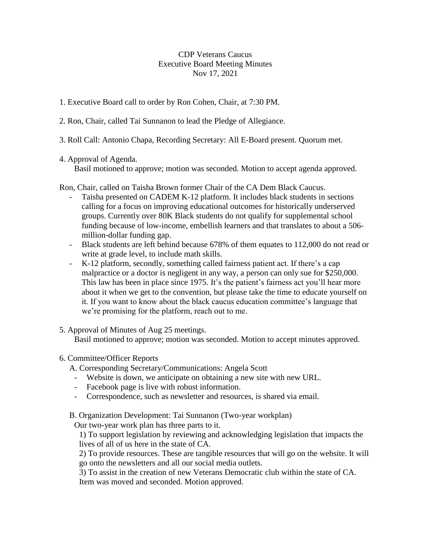CDP Veterans Caucus Executive Board Meeting Minutes Nov 17, 2021

- 1. Executive Board call to order by Ron Cohen, Chair, at 7:30 PM.
- 2. Ron, Chair, called Tai Sunnanon to lead the Pledge of Allegiance.
- 3. Roll Call: Antonio Chapa, Recording Secretary: All E-Board present. Quorum met.
- 4. Approval of Agenda.

Basil motioned to approve; motion was seconded. Motion to accept agenda approved.

Ron, Chair, called on Taisha Brown former Chair of the CA Dem Black Caucus.

- Taisha presented on CADEM K-12 platform. It includes black students in sections calling for a focus on improving educational outcomes for historically underserved groups. Currently over 80K Black students do not qualify for supplemental school funding because of low-income, embellish learners and that translates to about a 506 million-dollar funding gap.
- Black students are left behind because 678% of them equates to 112,000 do not read or write at grade level, to include math skills.
- K-12 platform, secondly, something called fairness patient act. If there's a cap malpractice or a doctor is negligent in any way, a person can only sue for \$250,000. This law has been in place since 1975. It's the patient's fairness act you'll hear more about it when we get to the convention, but please take the time to educate yourself on it. If you want to know about the black caucus education committee's language that we're promising for the platform, reach out to me.
- 5. Approval of Minutes of Aug 25 meetings.

Basil motioned to approve; motion was seconded. Motion to accept minutes approved.

6. Committee/Officer Reports

A. Corresponding Secretary/Communications: Angela Scott

- Website is down, we anticipate on obtaining a new site with new URL.
- Facebook page is live with robust information.
- Correspondence, such as newsletter and resources, is shared via email.
- B. Organization Development: Tai Sunnanon (Two-year workplan)

Our two-year work plan has three parts to it.

1) To support legislation by reviewing and acknowledging legislation that impacts the lives of all of us here in the state of CA.

2) To provide resources. These are tangible resources that will go on the website. It will go onto the newsletters and all our social media outlets.

3) To assist in the creation of new Veterans Democratic club within the state of CA. Item was moved and seconded. Motion approved.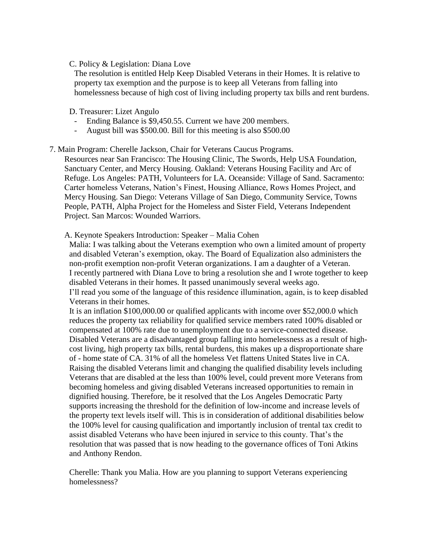## C. Policy & Legislation: Diana Love

The resolution is entitled Help Keep Disabled Veterans in their Homes. It is relative to property tax exemption and the purpose is to keep all Veterans from falling into homelessness because of high cost of living including property tax bills and rent burdens.

# D. Treasurer: Lizet Angulo

- Ending Balance is \$9,450.55. Current we have 200 members.
- August bill was \$500.00. Bill for this meeting is also \$500.00

# 7. Main Program: Cherelle Jackson, Chair for Veterans Caucus Programs.

Resources near San Francisco: The Housing Clinic, The Swords, Help USA Foundation, Sanctuary Center, and Mercy Housing. Oakland: Veterans Housing Facility and Arc of Refuge. Los Angeles: PATH, Volunteers for LA. Oceanside: Village of Sand. Sacramento: Carter homeless Veterans, Nation's Finest, Housing Alliance, Rows Homes Project, and Mercy Housing. San Diego: Veterans Village of San Diego, Community Service, Towns People, PATH, Alpha Project for the Homeless and Sister Field, Veterans Independent Project. San Marcos: Wounded Warriors.

## A. Keynote Speakers Introduction: Speaker – Malia Cohen

Malia: I was talking about the Veterans exemption who own a limited amount of property and disabled Veteran's exemption, okay. The Board of Equalization also administers the non-profit exemption non-profit Veteran organizations. I am a daughter of a Veteran. I recently partnered with Diana Love to bring a resolution she and I wrote together to keep disabled Veterans in their homes. It passed unanimously several weeks ago. I'll read you some of the language of this residence illumination, again, is to keep disabled Veterans in their homes.

It is an inflation \$100,000.00 or qualified applicants with income over \$52,000.0 which reduces the property tax reliability for qualified service members rated 100% disabled or compensated at 100% rate due to unemployment due to a service-connected disease. Disabled Veterans are a disadvantaged group falling into homelessness as a result of highcost living, high property tax bills, rental burdens, this makes up a disproportionate share of - home state of CA. 31% of all the homeless Vet flattens United States live in CA. Raising the disabled Veterans limit and changing the qualified disability levels including Veterans that are disabled at the less than 100% level, could prevent more Veterans from becoming homeless and giving disabled Veterans increased opportunities to remain in dignified housing. Therefore, be it resolved that the Los Angeles Democratic Party supports increasing the threshold for the definition of low-income and increase levels of the property text levels itself will. This is in consideration of additional disabilities below the 100% level for causing qualification and importantly inclusion of trental tax credit to assist disabled Veterans who have been injured in service to this county. That's the resolution that was passed that is now heading to the governance offices of Toni Atkins and Anthony Rendon.

Cherelle: Thank you Malia. How are you planning to support Veterans experiencing homelessness?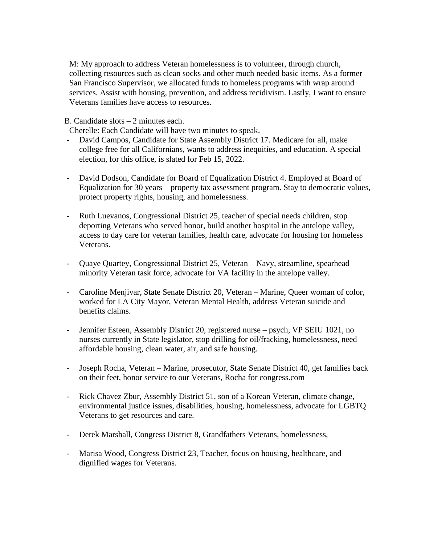M: My approach to address Veteran homelessness is to volunteer, through church, collecting resources such as clean socks and other much needed basic items. As a former San Francisco Supervisor, we allocated funds to homeless programs with wrap around services. Assist with housing, prevention, and address recidivism. Lastly, I want to ensure Veterans families have access to resources.

B. Candidate slots – 2 minutes each.

Cherelle: Each Candidate will have two minutes to speak.

- David Campos, Candidate for State Assembly District 17. Medicare for all, make college free for all Californians, wants to address inequities, and education. A special election, for this office, is slated for Feb 15, 2022.
- David Dodson, Candidate for Board of Equalization District 4. Employed at Board of Equalization for 30 years – property tax assessment program. Stay to democratic values, protect property rights, housing, and homelessness.
- Ruth Luevanos, Congressional District 25, teacher of special needs children, stop deporting Veterans who served honor, build another hospital in the antelope valley, access to day care for veteran families, health care, advocate for housing for homeless Veterans.
- Quaye Quartey, Congressional District 25, Veteran Navy, streamline, spearhead minority Veteran task force, advocate for VA facility in the antelope valley.
- Caroline Menjivar, State Senate District 20, Veteran Marine, Queer woman of color, worked for LA City Mayor, Veteran Mental Health, address Veteran suicide and benefits claims.
- Jennifer Esteen, Assembly District 20, registered nurse psych, VP SEIU 1021, no nurses currently in State legislator, stop drilling for oil/fracking, homelessness, need affordable housing, clean water, air, and safe housing.
- Joseph Rocha, Veteran Marine, prosecutor, State Senate District 40, get families back on their feet, honor service to our Veterans, Rocha for congress.com
- Rick Chavez Zbur, Assembly District 51, son of a Korean Veteran, climate change, environmental justice issues, disabilities, housing, homelessness, advocate for LGBTQ Veterans to get resources and care.
- Derek Marshall, Congress District 8, Grandfathers Veterans, homelessness,
- Marisa Wood, Congress District 23, Teacher, focus on housing, healthcare, and dignified wages for Veterans.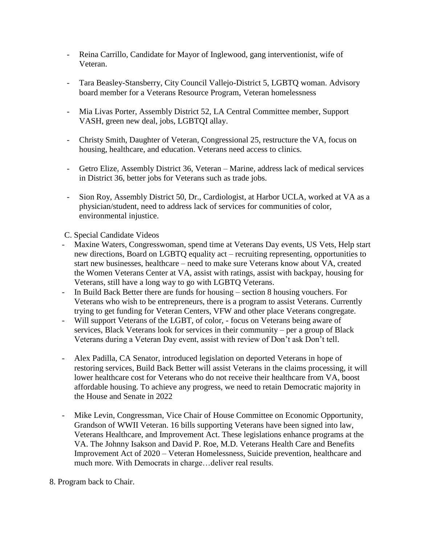- Reina Carrillo, Candidate for Mayor of Inglewood, gang interventionist, wife of Veteran.
- Tara Beasley-Stansberry, City Council Vallejo-District 5, LGBTQ woman. Advisory board member for a Veterans Resource Program, Veteran homelessness
- Mia Livas Porter, Assembly District 52, LA Central Committee member, Support VASH, green new deal, jobs, LGBTQI allay.
- Christy Smith, Daughter of Veteran, Congressional 25, restructure the VA, focus on housing, healthcare, and education. Veterans need access to clinics.
- Getro Elize, Assembly District 36, Veteran Marine, address lack of medical services in District 36, better jobs for Veterans such as trade jobs.
- Sion Roy, Assembly District 50, Dr., Cardiologist, at Harbor UCLA, worked at VA as a physician/student, need to address lack of services for communities of color, environmental injustice.
- C. Special Candidate Videos
- Maxine Waters, Congresswoman, spend time at Veterans Day events, US Vets, Help start new directions, Board on LGBTQ equality act – recruiting representing, opportunities to start new businesses, healthcare – need to make sure Veterans know about VA, created the Women Veterans Center at VA, assist with ratings, assist with backpay, housing for Veterans, still have a long way to go with LGBTQ Veterans.
- In Build Back Better there are funds for housing section 8 housing vouchers. For Veterans who wish to be entrepreneurs, there is a program to assist Veterans. Currently trying to get funding for Veteran Centers, VFW and other place Veterans congregate.
- Will support Veterans of the LGBT, of color, focus on Veterans being aware of services, Black Veterans look for services in their community – per a group of Black Veterans during a Veteran Day event, assist with review of Don't ask Don't tell.
- Alex Padilla, CA Senator, introduced legislation on deported Veterans in hope of restoring services, Build Back Better will assist Veterans in the claims processing, it will lower healthcare cost for Veterans who do not receive their healthcare from VA, boost affordable housing. To achieve any progress, we need to retain Democratic majority in the House and Senate in 2022
- Mike Levin, Congressman, Vice Chair of House Committee on Economic Opportunity, Grandson of WWII Veteran. 16 bills supporting Veterans have been signed into law, Veterans Healthcare, and Improvement Act. These legislations enhance programs at the VA. The Johnny Isakson and David P. Roe, M.D. Veterans Health Care and Benefits Improvement Act of 2020 – Veteran Homelessness, Suicide prevention, healthcare and much more. With Democrats in charge…deliver real results.
- 8. Program back to Chair.